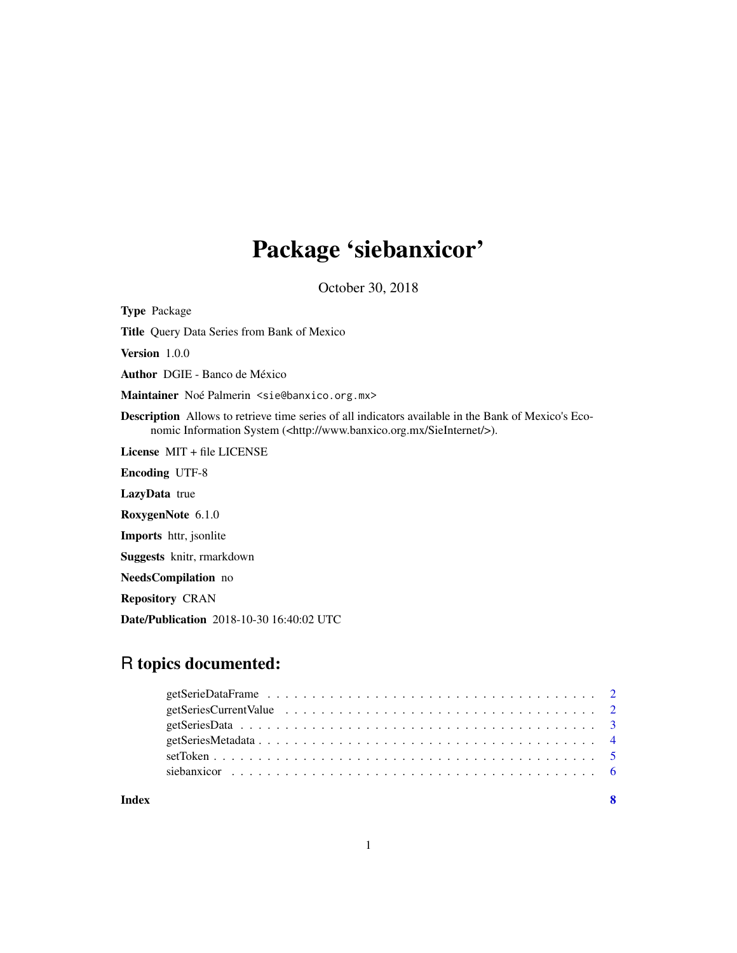## Package 'siebanxicor'

October 30, 2018

Type Package

Title Query Data Series from Bank of Mexico

Version 1.0.0

Author DGIE - Banco de México

Maintainer Noé Palmerin <sie@banxico.org.mx>

Description Allows to retrieve time series of all indicators available in the Bank of Mexico's Economic Information System (<http://www.banxico.org.mx/SieInternet/>).

License MIT + file LICENSE

Encoding UTF-8

LazyData true

RoxygenNote 6.1.0

Imports httr, jsonlite

Suggests knitr, rmarkdown

NeedsCompilation no

Repository CRAN

Date/Publication 2018-10-30 16:40:02 UTC

### R topics documented:

| Index |  |
|-------|--|
|       |  |
|       |  |
|       |  |
|       |  |
|       |  |
|       |  |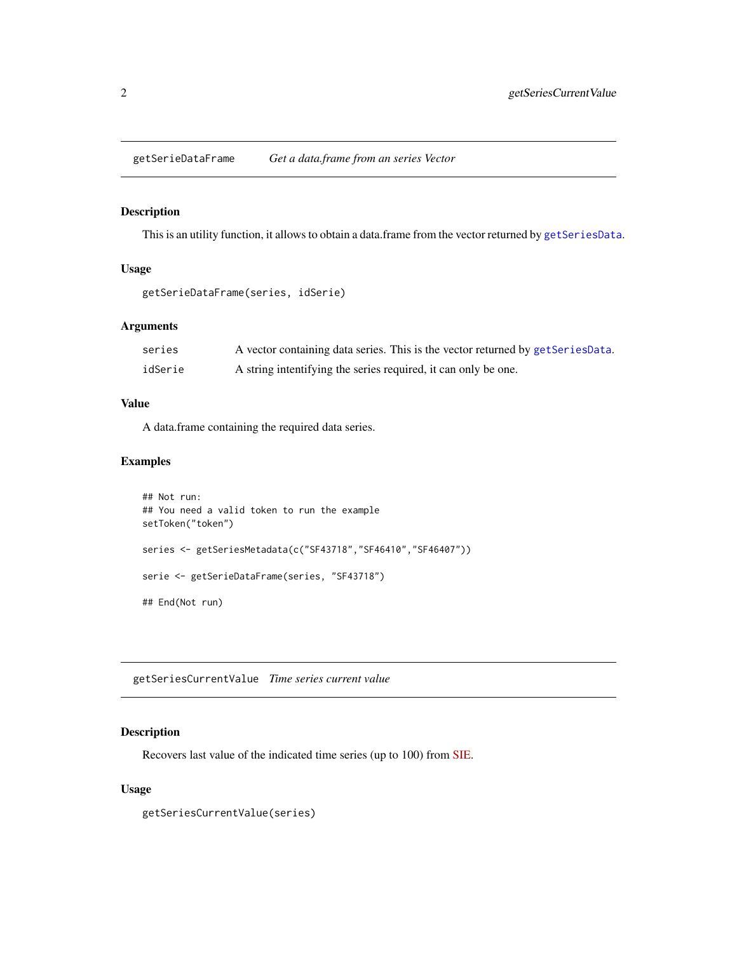<span id="page-1-1"></span><span id="page-1-0"></span>getSerieDataFrame *Get a data.frame from an series Vector*

### Description

This is an utility function, it allows to obtain a data.frame from the vector returned by [getSeriesData](#page-2-1).

#### Usage

```
getSerieDataFrame(series, idSerie)
```
#### Arguments

| series  | A vector containing data series. This is the vector returned by getSeriesData. |
|---------|--------------------------------------------------------------------------------|
| idSerie | A string intentifying the series required, it can only be one.                 |

#### Value

A data.frame containing the required data series.

#### Examples

```
## Not run:
## You need a valid token to run the example
setToken("token")
series <- getSeriesMetadata(c("SF43718","SF46410","SF46407"))
serie <- getSerieDataFrame(series, "SF43718")
## End(Not run)
```
<span id="page-1-2"></span>getSeriesCurrentValue *Time series current value*

#### Description

Recovers last value of the indicated time series (up to 100) from [SIE.](http://www.banxico.org.mx/SieInternet)

#### Usage

getSeriesCurrentValue(series)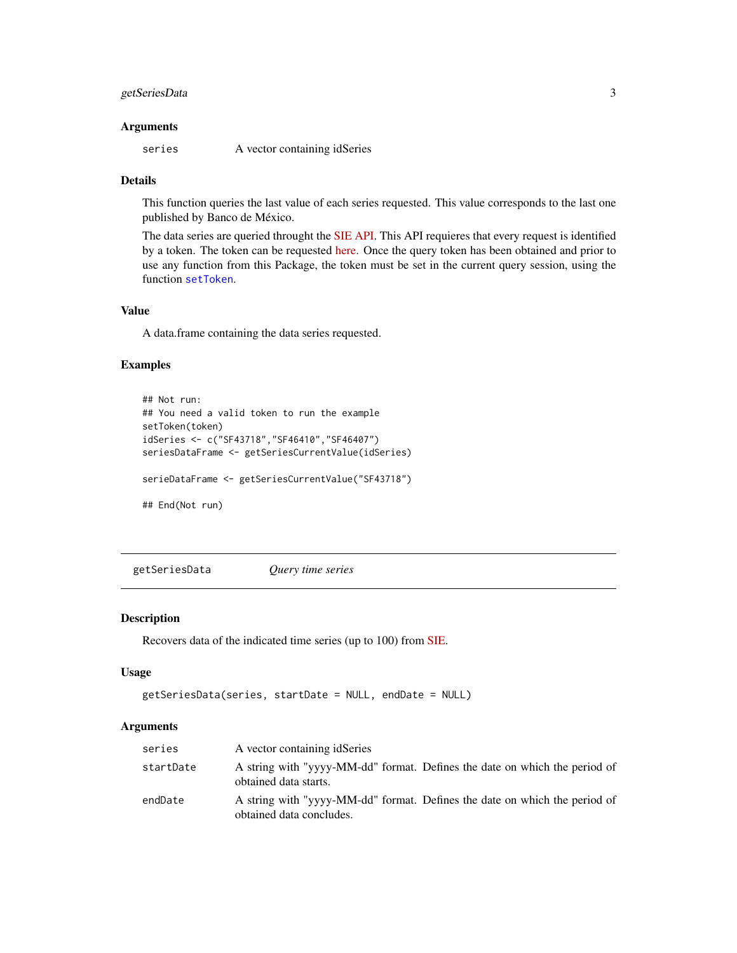#### <span id="page-2-0"></span>getSeriesData 3

#### **Arguments**

series A vector containing idSeries

#### Details

This function queries the last value of each series requested. This value corresponds to the last one published by Banco de México.

The data series are queried throught the [SIE API.](https://www.banxico.org.mx/SieAPIRest) This API requieres that every request is identified by a token. The token can be requested [here.](https://www.banxico.org.mx/SieAPIRest/service/v1/token) Once the query token has been obtained and prior to use any function from this Package, the token must be set in the current query session, using the function [setToken](#page-4-1).

#### Value

A data.frame containing the data series requested.

#### Examples

```
## Not run:
## You need a valid token to run the example
setToken(token)
idSeries <- c("SF43718","SF46410","SF46407")
seriesDataFrame <- getSeriesCurrentValue(idSeries)
serieDataFrame <- getSeriesCurrentValue("SF43718")
## End(Not run)
```
<span id="page-2-1"></span>getSeriesData *Query time series*

#### Description

Recovers data of the indicated time series (up to 100) from [SIE.](http://www.banxico.org.mx/SieInternet)

#### Usage

```
getSeriesData(series, startDate = NULL, endDate = NULL)
```
#### Arguments

| series    | A vector containing idSeries                                                                           |
|-----------|--------------------------------------------------------------------------------------------------------|
| startDate | A string with "yyyy-MM-dd" format. Defines the date on which the period of<br>obtained data starts.    |
| endDate   | A string with "yyyy-MM-dd" format. Defines the date on which the period of<br>obtained data concludes. |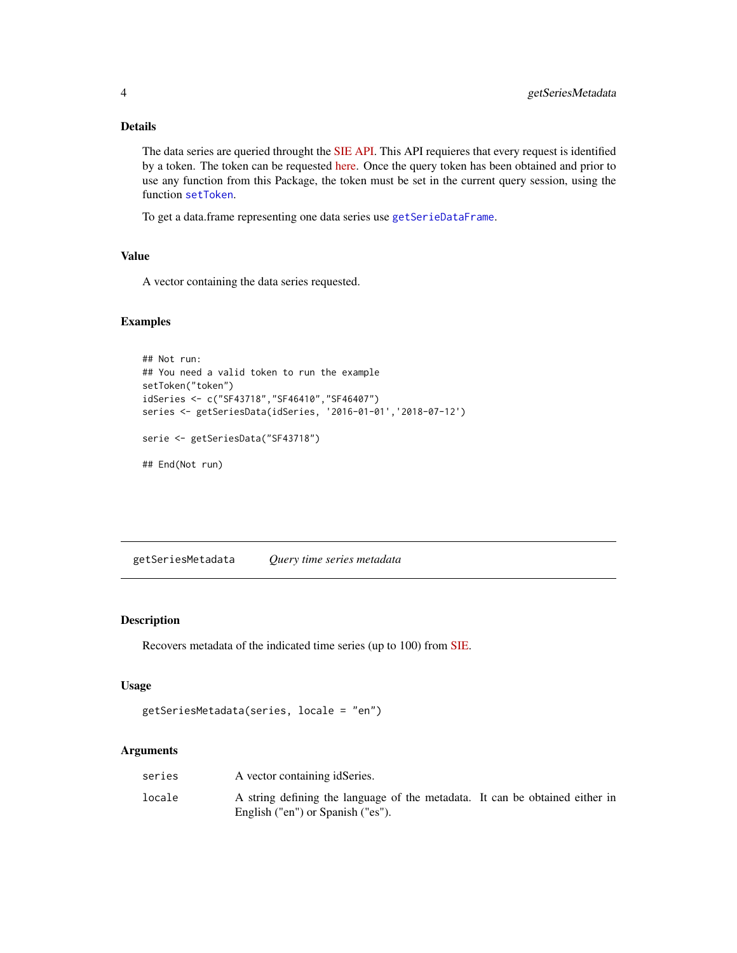#### <span id="page-3-0"></span>Details

The data series are queried throught the [SIE API.](https://www.banxico.org.mx/SieAPIRest) This API requieres that every request is identified by a token. The token can be requested [here.](https://www.banxico.org.mx/SieAPIRest/service/v1/token) Once the query token has been obtained and prior to use any function from this Package, the token must be set in the current query session, using the function [setToken](#page-4-1).

To get a data.frame representing one data series use [getSerieDataFrame](#page-1-1).

#### Value

A vector containing the data series requested.

#### Examples

```
## Not run:
## You need a valid token to run the example
setToken("token")
idSeries <- c("SF43718","SF46410","SF46407")
series <- getSeriesData(idSeries, '2016-01-01','2018-07-12')
serie <- getSeriesData("SF43718")
## End(Not run)
```
<span id="page-3-1"></span>getSeriesMetadata *Query time series metadata*

#### Description

Recovers metadata of the indicated time series (up to 100) from [SIE.](http://www.banxico.org.mx/SieInternet)

#### Usage

```
getSeriesMetadata(series, locale = "en")
```
#### Arguments

| series | A vector containing idSeries.                                                                                     |  |
|--------|-------------------------------------------------------------------------------------------------------------------|--|
| locale | A string defining the language of the metadata. It can be obtained either in<br>English ("en") or Spanish ("es"). |  |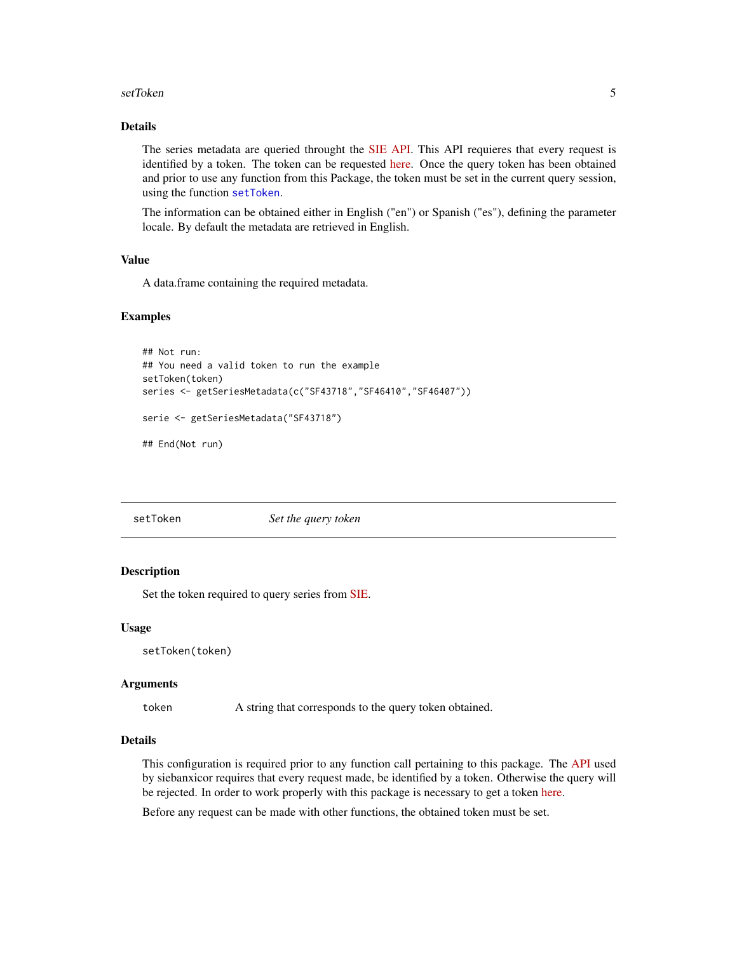#### <span id="page-4-0"></span>setToken 55 SetToken 55 SetToken 55 SetToken 55 SetToken 55 SetToken 55 SetToken 55 SetToken 55 SetToken 55 Set

#### Details

The series metadata are queried throught the [SIE API.](https://www.banxico.org.mx/SieAPIRest) This API requieres that every request is identified by a token. The token can be requested [here.](https://www.banxico.org.mx/SieAPIRest/service/v1/token) Once the query token has been obtained and prior to use any function from this Package, the token must be set in the current query session, using the function [setToken](#page-4-1).

The information can be obtained either in English ("en") or Spanish ("es"), defining the parameter locale. By default the metadata are retrieved in English.

#### Value

A data.frame containing the required metadata.

#### Examples

```
## Not run:
## You need a valid token to run the example
setToken(token)
series <- getSeriesMetadata(c("SF43718","SF46410","SF46407"))
serie <- getSeriesMetadata("SF43718")
## End(Not run)
```
<span id="page-4-1"></span>

setToken *Set the query token*

#### **Description**

Set the token required to query series from [SIE.](http://www.banxico.org.mx/SieInternet)

#### Usage

```
setToken(token)
```
#### Arguments

token A string that corresponds to the query token obtained.

#### Details

This configuration is required prior to any function call pertaining to this package. The [API](https://www.banxico.org.mx/SieAPIRest) used by siebanxicor requires that every request made, be identified by a token. Otherwise the query will be rejected. In order to work properly with this package is necessary to get a token [here.](https://www.banxico.org.mx/SieAPIRest/service/v1/token)

Before any request can be made with other functions, the obtained token must be set.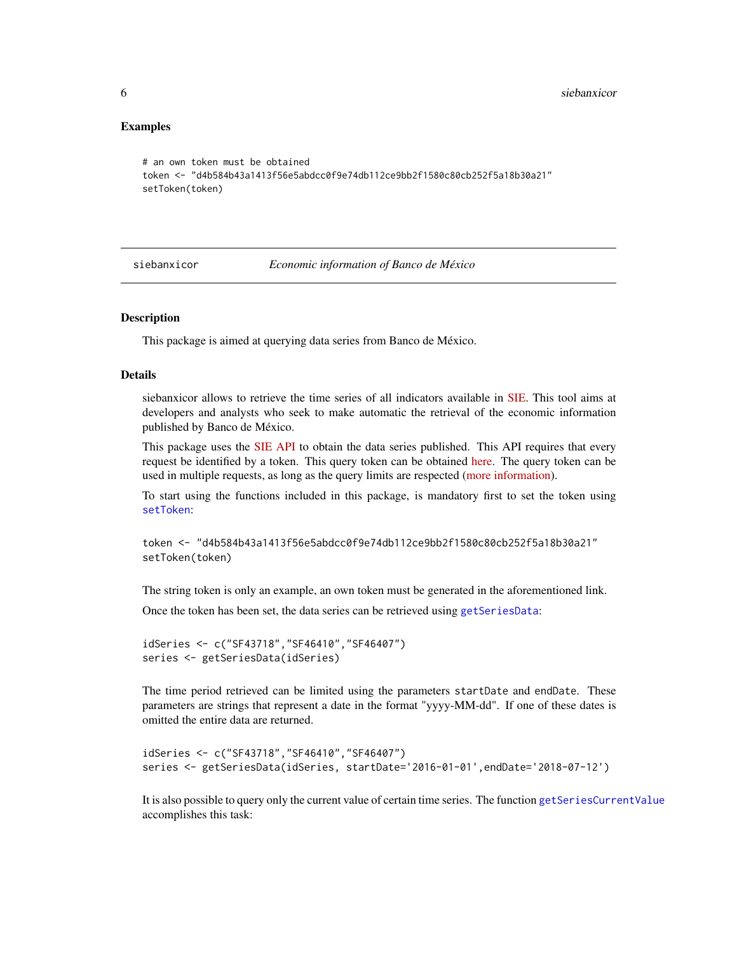#### <span id="page-5-0"></span>Examples

```
# an own token must be obtained
token <- "d4b584b43a1413f56e5abdcc0f9e74db112ce9bb2f1580c80cb252f5a18b30a21"
setToken(token)
```
siebanxicor *Economic information of Banco de México*

#### Description

This package is aimed at querying data series from Banco de México.

#### Details

siebanxicor allows to retrieve the time series of all indicators available in [SIE.](http://www.banxico.org.mx/SieInternet) This tool aims at developers and analysts who seek to make automatic the retrieval of the economic information published by Banco de México.

This package uses the [SIE API](https://www.banxico.org.mx/SieAPIRest) to obtain the data series published. This API requires that every request be identified by a token. This query token can be obtained [here.](https://www.banxico.org.mx/SieAPIRest/service/v1/token) The query token can be used in multiple requests, as long as the query limits are respected [\(more information\)](https://www.banxico.org.mx/SieAPIRest/service/v1/doc/limiteConsultas).

To start using the functions included in this package, is mandatory first to set the token using [setToken](#page-4-1):

```
token <- "d4b584b43a1413f56e5abdcc0f9e74db112ce9bb2f1580c80cb252f5a18b30a21"
setToken(token)
```
The string token is only an example, an own token must be generated in the aforementioned link.

Once the token has been set, the data series can be retrieved using [getSeriesData](#page-2-1):

```
idSeries <- c("SF43718","SF46410","SF46407")
series <- getSeriesData(idSeries)
```
The time period retrieved can be limited using the parameters startDate and endDate. These parameters are strings that represent a date in the format "yyyy-MM-dd". If one of these dates is omitted the entire data are returned.

```
idSeries <- c("SF43718","SF46410","SF46407")
series <- getSeriesData(idSeries, startDate='2016-01-01',endDate='2018-07-12')
```
It is also possible to query only the current value of certain time series. The function [getSeriesCurrentValue](#page-1-2) accomplishes this task: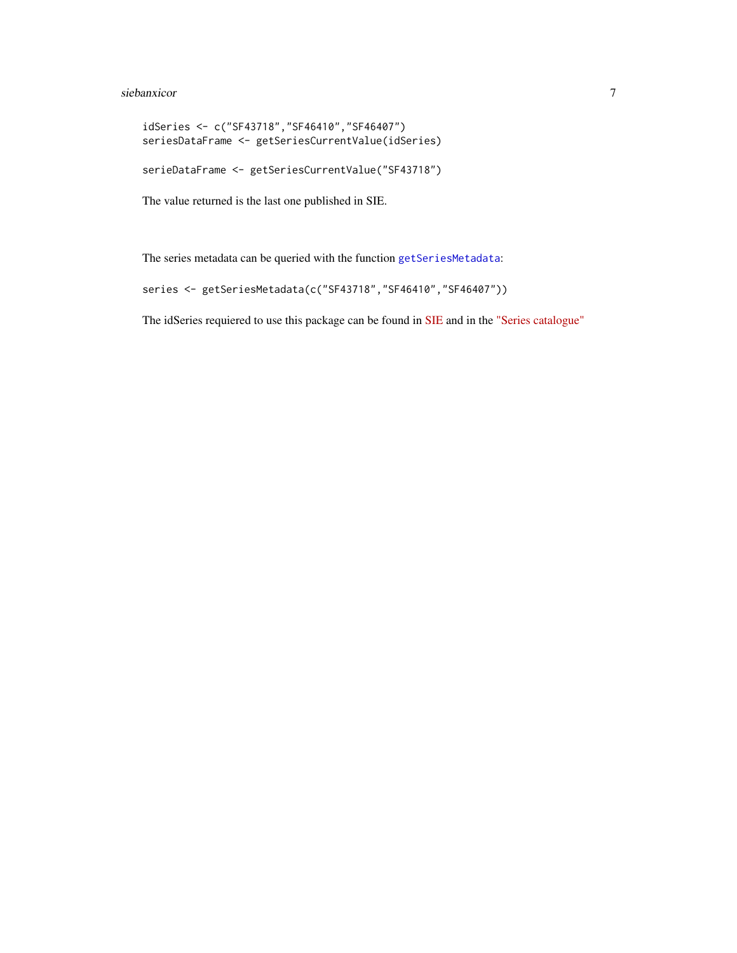#### <span id="page-6-0"></span>siebanxicor 7 anno 2008. Il secondo a control de la contrada de la contrada de la contrada de la contrada de l

```
idSeries <- c("SF43718","SF46410","SF46407")
seriesDataFrame <- getSeriesCurrentValue(idSeries)
serieDataFrame <- getSeriesCurrentValue("SF43718")
```
The value returned is the last one published in SIE.

The series metadata can be queried with the function [getSeriesMetadata](#page-3-1):

```
series <- getSeriesMetadata(c("SF43718","SF46410","SF46407"))
```
The idSeries requiered to use this package can be found in [SIE](http://www.banxico.org.mx/SieInternet) and in the ["Series catalogue"](https://www.banxico.org.mx/SieAPIRest/service/v1/doc/catalogoSeries)